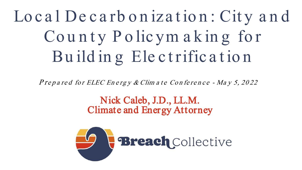Lo c a l De c a rb o n iza t io n : Cit y a n d County Policym aking for Bu ild in g Ele ct rifica t io n

P repared for ELEC Energy & Clim at  $e$  Conference - May 5, 2022

#### Nick Caleb, J.D., LL.M. Climate and Energy Attorney

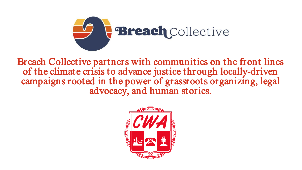

Breach Collective partners with communities on the front lines of the climate crisis to advance justice through locally-driven campaigns rooted in the power of grassroots organizing, legal advocacy, and human stories.

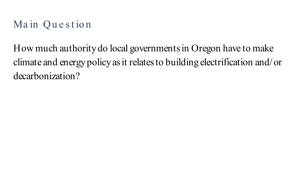#### Main Question

How much authority do local governments in Oregon have to make climate and energy policy as it relates to building electrification and/or decarbonization?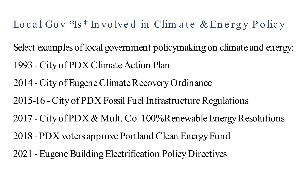#### Local Gov  $*Is*Involved$  in Climate & Energy Policy

- Select examples of local government policymaking on climate and energy:
- 1993 -City of PDX Climate Action Plan
- 2014 -City of Eugene Climate Recovery Ordinance
- 2015-16 -City of PDX Fossil Fuel Infrastructure Regulations
- 2017 -City of PDX & Mult. Co. 100% Renewable Energy Resolutions
- 2018 -PDX voters approve Portland Clean Energy Fund
- 2021 -Eugene Building Electrification Policy Directives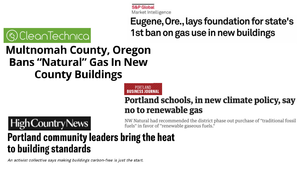**S&P Globa** Market Intelligence

Eugene, Ore., lays foundation for state's 1st ban on gas use in new buildings

# ⊗)Clea∩Tech∩ıca

## **Multnomah County, Oregon Bans "Natural" Gas In New County Buildings**

PORTLAND **BUSINESS JOURNAL** 

#### Portland schools, in new climate policy, say no to renewable gas

**High Country News** 

NW Natural had recommended the district phase out purchase of "traditional fossil fuels" in favor of "renewable gaseous fuels."

### Portland community leaders bring the heat to building standards

An activist collective says making buildings carbon-free is just the start.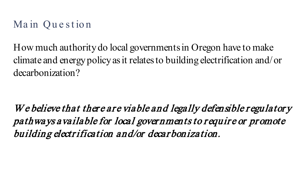#### Main Question

How much authority do local governments in Oregon have to make climate and energy policy as it relates to building electrification and/or decarbonization?

W e believe that there are viable and legally defensible regulatory pathways available for local governments to require or promote building electr ification and/or decar bonization.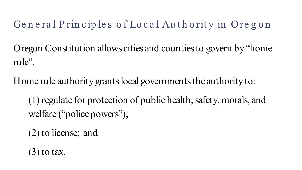#### General Principles of Local Authority in Oregon

Oregon Constitution allows cities and counties to govern by "home rule".

Home rule authority grants local governments the authority to:

(1) regulate for protection of public health, safety, morals, and welfare ("police powers");

(2) to license; and

 $(3)$  to tax.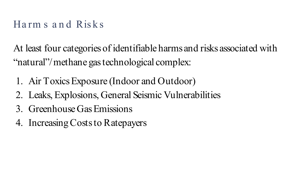#### Ha rm s a n d Risk s

At least four categories of identifiable harms and risks associated with "natural"/methane gas technological complex:

- 1. Air Toxics Exposure (Indoor and Outdoor)
- 2. Leaks, Explosions, General Seismic Vulnerabilities
- 3. Greenhouse Gas Emissions
- 4. Increasing Costs to Ratepayers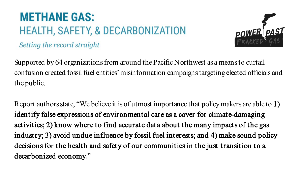## **METHANE GAS: HEALTH, SAFETY, & DECARBONIZATION**



Setting the record straight

Supported by 64 organizations from around the Pacific Northwest as a means to curtail confusion created fossil fuel entities' misinformation campaigns targeting elected officials and the public.

Report authors state, "We believe it is of utmost importance that policy makers are able to 1) identify false expressions of environmental care as a cover for climate-damaging activities; 2) know where to find accurate data about the many impacts of the gas industry; 3) avoid undue influence by fossil fuel interests; and 4) make sound policy decisions for the health and safety of our communities in the just transition to a decarbonized economy."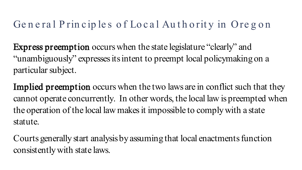#### General Principles of Local Authority in Oregon

Express preemption occurs when the state legislature "clearly" and "unambiguously" expresses its intent to preempt local policymaking on a particular subject.

Implied preemption occurs when the two laws are in conflict such that they cannot operate concurrently. In other words, the local law is preempted when the operation of the local law makes it impossible to comply with a state statute.

Courts generally start analysis by assuming that local enactments function consistently with state laws.